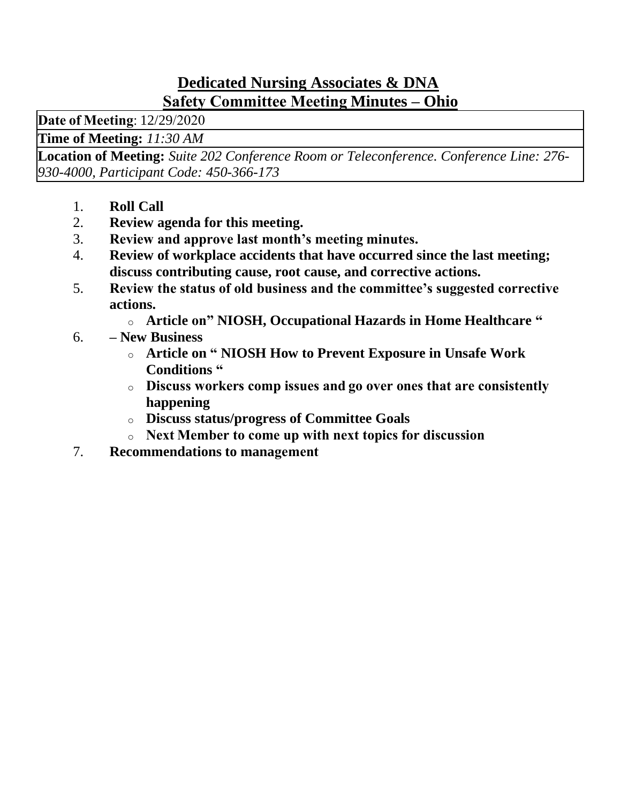### **Dedicated Nursing Associates & DNA Safety Committee Meeting Minutes – Ohio**

**Date of Meeting**: 12/29/2020 

**Time of Meeting:** *11:30 AM*

**Location of Meeting:** *Suite 202 Conference Room or Teleconference. Conference Line: 276- 930-4000, Participant Code: 450-366-173*

- 1. **Roll Call**
- 2. **Review agenda for this meeting.**
- 3. **Review and approve last month's meeting minutes.**
- 4. **Review of workplace accidents that have occurred since the last meeting; discuss contributing cause, root cause, and corrective actions.**
- 5. **Review the status of old business and the committee's suggested corrective actions.**
	- o **Article on" NIOSH, Occupational Hazards in Home Healthcare "**
- 6. **– New Business**
	- o **Article on " NIOSH How to Prevent Exposure in Unsafe Work Conditions "**
	- o **Discuss workers comp issues and go over ones that are consistently happening**
	- o **Discuss status/progress of Committee Goals**
	- o **Next Member to come up with next topics for discussion**
- 7. **Recommendations to management**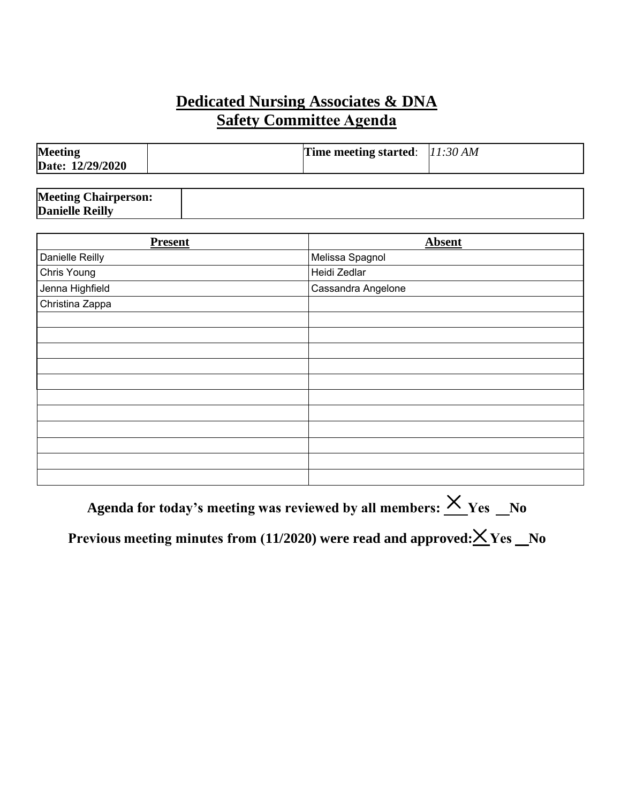## **Dedicated Nursing Associates & DNA Safety Committee Agenda**

| <b>Meeting</b><br>Date: 12/29/2020 | Time meeting started: $ 11:30 \text{ AM} $ |  |
|------------------------------------|--------------------------------------------|--|
|                                    |                                            |  |

| <b>Meeting Chairperson:</b> |  |
|-----------------------------|--|
| <b>Danielle Reilly</b>      |  |

| <b>Present</b>  | <b>Absent</b>      |
|-----------------|--------------------|
| Danielle Reilly | Melissa Spagnol    |
| Chris Young     | Heidi Zedlar       |
| Jenna Highfield | Cassandra Angelone |
| Christina Zappa |                    |
|                 |                    |
|                 |                    |
|                 |                    |
|                 |                    |
|                 |                    |
|                 |                    |
|                 |                    |
|                 |                    |
|                 |                    |
|                 |                    |
|                 |                    |

**Agenda for today's meeting was reviewed by all members:**  $\frac{\times}{10}$  Yes  $\frac{N_0}{N_0}$ 

Previous meeting minutes from (11/2020) were read and approved:  $\times$  Yes No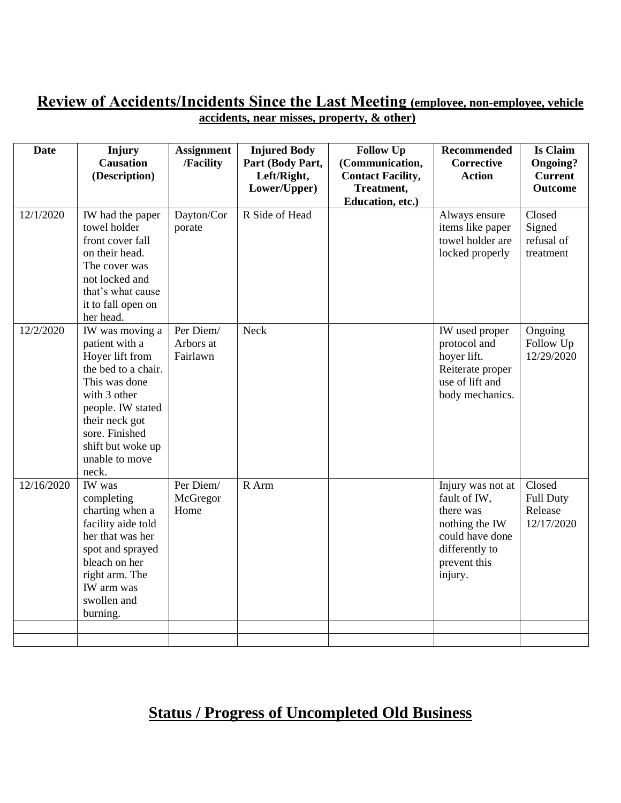#### **Review of Accidents/Incidents Since the Last Meeting (employee, non-employee, vehicle accidents, near misses, property, & other)**

| <b>Date</b> | Injury<br><b>Causation</b><br>(Description)                                                                                                                                                                           | <b>Assignment</b><br>/Facility     | <b>Injured Body</b><br>Part (Body Part,<br>Left/Right, | <b>Follow Up</b><br>(Communication,<br><b>Contact Facility,</b> | Recommended<br><b>Corrective</b><br><b>Action</b>                                                                                | <b>Is Claim</b><br><b>Ongoing?</b><br><b>Current</b> |
|-------------|-----------------------------------------------------------------------------------------------------------------------------------------------------------------------------------------------------------------------|------------------------------------|--------------------------------------------------------|-----------------------------------------------------------------|----------------------------------------------------------------------------------------------------------------------------------|------------------------------------------------------|
|             |                                                                                                                                                                                                                       |                                    | Lower/Upper)                                           | Treatment,<br>Education, etc.)                                  |                                                                                                                                  | <b>Outcome</b>                                       |
| 12/1/2020   | IW had the paper<br>towel holder<br>front cover fall<br>on their head.<br>The cover was<br>not locked and<br>that's what cause<br>it to fall open on<br>her head.                                                     | Dayton/Cor<br>porate               | R Side of Head                                         |                                                                 | Always ensure<br>items like paper<br>towel holder are<br>locked properly                                                         | Closed<br>Signed<br>refusal of<br>treatment          |
| 12/2/2020   | IW was moving a<br>patient with a<br>Hoyer lift from<br>the bed to a chair.<br>This was done<br>with 3 other<br>people. IW stated<br>their neck got<br>sore. Finished<br>shift but woke up<br>unable to move<br>neck. | Per Diem/<br>Arbors at<br>Fairlawn | Neck                                                   |                                                                 | IW used proper<br>protocol and<br>hoyer lift.<br>Reiterate proper<br>use of lift and<br>body mechanics.                          | Ongoing<br>Follow Up<br>12/29/2020                   |
| 12/16/2020  | IW was<br>completing<br>charting when a<br>facility aide told<br>her that was her<br>spot and sprayed<br>bleach on her<br>right arm. The<br>IW arm was<br>swollen and<br>burning.                                     | Per Diem/<br>McGregor<br>Home      | R Arm                                                  |                                                                 | Injury was not at<br>fault of IW,<br>there was<br>nothing the IW<br>could have done<br>differently to<br>prevent this<br>injury. | Closed<br><b>Full Duty</b><br>Release<br>12/17/2020  |
|             |                                                                                                                                                                                                                       |                                    |                                                        |                                                                 |                                                                                                                                  |                                                      |

# **Status / Progress of Uncompleted Old Business**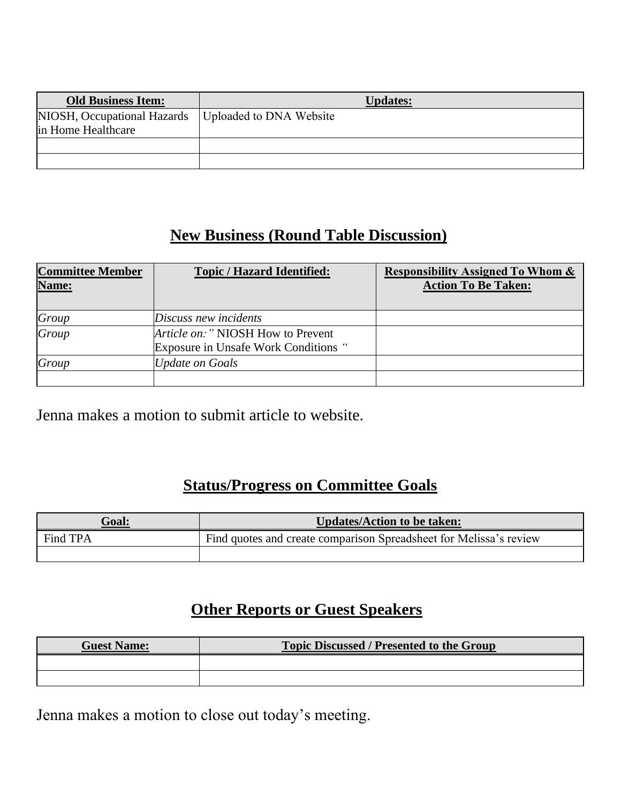| <b>Old Business Item:</b>                         | <b>Updates:</b>         |
|---------------------------------------------------|-------------------------|
| NIOSH, Occupational Hazards<br>in Home Healthcare | Uploaded to DNA Website |
|                                                   |                         |
|                                                   |                         |

## **New Business (Round Table Discussion)**

| <b>Committee Member</b><br>Name: | <b>Topic / Hazard Identified:</b>                                                 | <b>Responsibility Assigned To Whom &amp;</b><br><b>Action To Be Taken:</b> |
|----------------------------------|-----------------------------------------------------------------------------------|----------------------------------------------------------------------------|
| Group                            | Discuss new incidents                                                             |                                                                            |
| Group                            | <i>Article on:</i> " NIOSH How to Prevent<br>Exposure in Unsafe Work Conditions " |                                                                            |
| Group                            | <b>Update on Goals</b>                                                            |                                                                            |
|                                  |                                                                                   |                                                                            |

Jenna makes a motion to submit article to website.

### **Status/Progress on Committee Goals**

| <b>Goal:</b> | Updates/Action to be taken:                                        |  |
|--------------|--------------------------------------------------------------------|--|
| Find TPA     | Find quotes and create comparison Spreadsheet for Melissa's review |  |
|              |                                                                    |  |

# **Other Reports or Guest Speakers**

| <b>Guest Name:</b> | <b>Topic Discussed / Presented to the Group</b> |  |
|--------------------|-------------------------------------------------|--|
|                    |                                                 |  |
|                    |                                                 |  |

Jenna makes a motion to close out today's meeting.